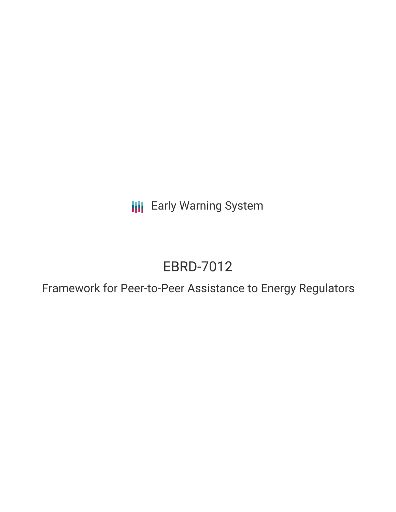**III** Early Warning System

# EBRD-7012

Framework for Peer-to-Peer Assistance to Energy Regulators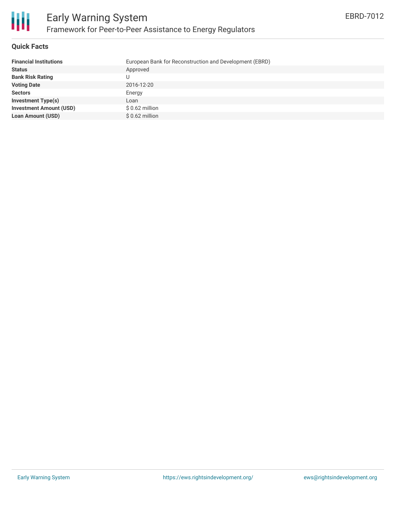### **Quick Facts**

| <b>Financial Institutions</b>  | European Bank for Reconstruction and Development (EBRD) |
|--------------------------------|---------------------------------------------------------|
| <b>Status</b>                  | Approved                                                |
| <b>Bank Risk Rating</b>        |                                                         |
| <b>Voting Date</b>             | 2016-12-20                                              |
| <b>Sectors</b>                 | Energy                                                  |
| <b>Investment Type(s)</b>      | Loan                                                    |
| <b>Investment Amount (USD)</b> | $$0.62$ million                                         |
| <b>Loan Amount (USD)</b>       | $$0.62$ million                                         |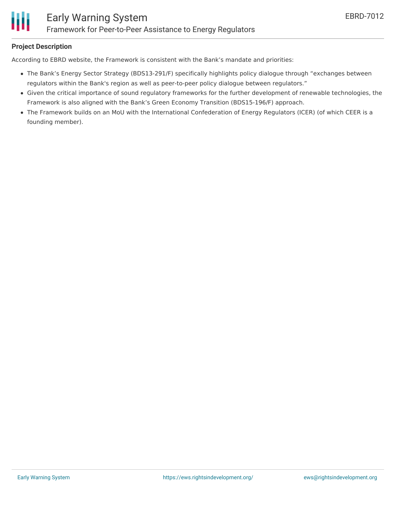

## **Project Description**

According to EBRD website, the Framework is consistent with the Bank's mandate and priorities:

- The Bank's Energy Sector Strategy (BDS13-291/F) specifically highlights policy dialogue through "exchanges between regulators within the Bank's region as well as peer-to-peer policy dialogue between regulators."
- Given the critical importance of sound regulatory frameworks for the further development of renewable technologies, the Framework is also aligned with the Bank's Green Economy Transition (BDS15-196/F) approach.
- The Framework builds on an MoU with the International Confederation of Energy Regulators (ICER) (of which CEER is a founding member).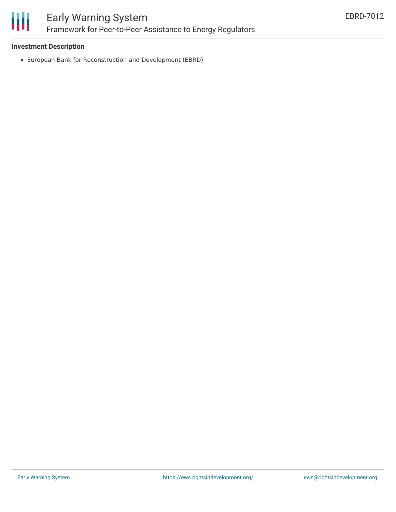

### **Investment Description**

European Bank for Reconstruction and Development (EBRD)